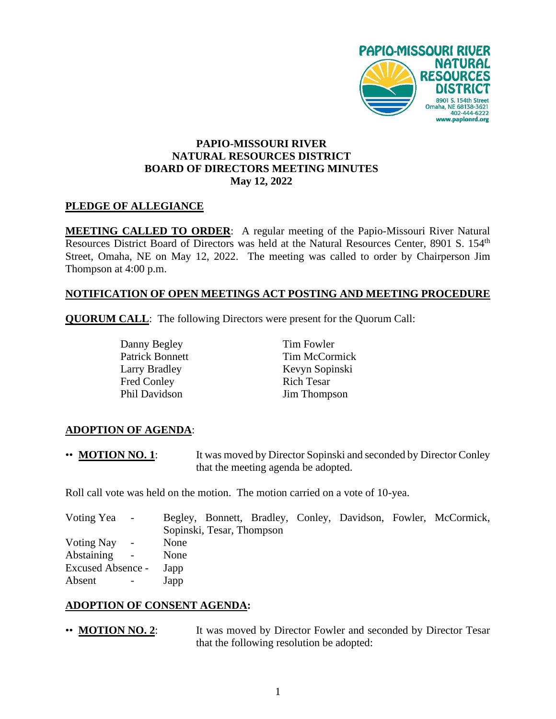

## **PAPIO-MISSOURI RIVER NATURAL RESOURCES DISTRICT BOARD OF DIRECTORS MEETING MINUTES May 12, 2022**

#### **PLEDGE OF ALLEGIANCE**

**MEETING CALLED TO ORDER**: A regular meeting of the Papio-Missouri River Natural Resources District Board of Directors was held at the Natural Resources Center, 8901 S. 154<sup>th</sup> Street, Omaha, NE on May 12, 2022. The meeting was called to order by Chairperson Jim Thompson at 4:00 p.m.

## **NOTIFICATION OF OPEN MEETINGS ACT POSTING AND MEETING PROCEDURE**

**QUORUM CALL**: The following Directors were present for the Quorum Call:

Danny Begley Patrick Bonnett Larry Bradley Fred Conley Phil Davidson Jim Thompson

Tim Fowler Tim McCormick Kevyn Sopinski Rich Tesar

## **ADOPTION OF AGENDA**:

•• **MOTION NO. 1**: It was moved by Director Sopinski and seconded by Director Conley that the meeting agenda be adopted.

Roll call vote was held on the motion. The motion carried on a vote of 10-yea.

| Voting Yea -      |                      |      |                           |  |  | Begley, Bonnett, Bradley, Conley, Davidson, Fowler, McCormick, |
|-------------------|----------------------|------|---------------------------|--|--|----------------------------------------------------------------|
|                   |                      |      | Sopinski, Tesar, Thompson |  |  |                                                                |
| Voting Nay -      |                      | None |                           |  |  |                                                                |
| Abstaining -      |                      | None |                           |  |  |                                                                |
| Excused Absence - |                      | Japp |                           |  |  |                                                                |
| Absent            | $\sim 100$ m $^{-1}$ | Japp |                           |  |  |                                                                |

#### **ADOPTION OF CONSENT AGENDA:**

• **MOTION NO. 2**: It was moved by Director Fowler and seconded by Director Tesar that the following resolution be adopted: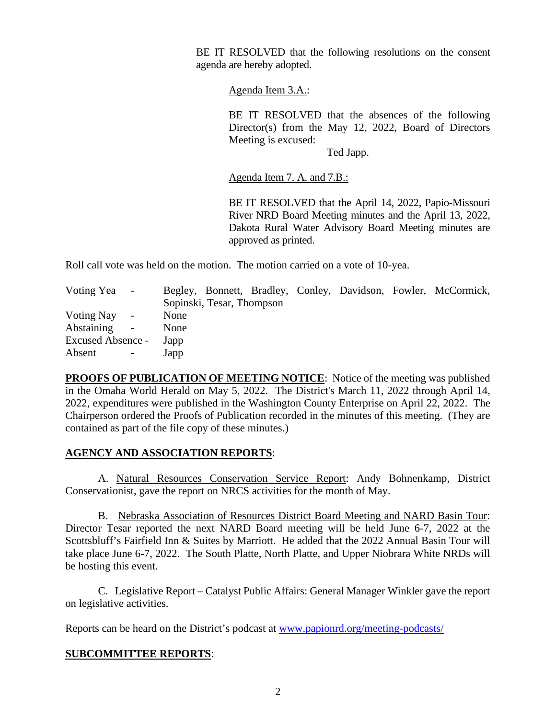BE IT RESOLVED that the following resolutions on the consent agenda are hereby adopted.

Agenda Item 3.A.:

BE IT RESOLVED that the absences of the following Director(s) from the May 12, 2022, Board of Directors Meeting is excused:

Ted Japp.

Agenda Item 7. A. and 7.B.:

BE IT RESOLVED that the April 14, 2022, Papio-Missouri River NRD Board Meeting minutes and the April 13, 2022, Dakota Rural Water Advisory Board Meeting minutes are approved as printed.

Roll call vote was held on the motion. The motion carried on a vote of 10-yea.

| Voting Yea        | $\sim$ |      |                           |  |  | Begley, Bonnett, Bradley, Conley, Davidson, Fowler, McCormick, |
|-------------------|--------|------|---------------------------|--|--|----------------------------------------------------------------|
|                   |        |      | Sopinski, Tesar, Thompson |  |  |                                                                |
| Voting Nay -      |        | None |                           |  |  |                                                                |
| Abstaining        | $\sim$ | None |                           |  |  |                                                                |
| Excused Absence - |        | Japp |                           |  |  |                                                                |
| Absent            |        | Japp |                           |  |  |                                                                |

**PROOFS OF PUBLICATION OF MEETING NOTICE**: Notice of the meeting was published in the Omaha World Herald on May 5, 2022. The District's March 11, 2022 through April 14, 2022, expenditures were published in the Washington County Enterprise on April 22, 2022. The Chairperson ordered the Proofs of Publication recorded in the minutes of this meeting. (They are contained as part of the file copy of these minutes.)

## **AGENCY AND ASSOCIATION REPORTS**:

A. Natural Resources Conservation Service Report: Andy Bohnenkamp, District Conservationist, gave the report on NRCS activities for the month of May.

B. Nebraska Association of Resources District Board Meeting and NARD Basin Tour: Director Tesar reported the next NARD Board meeting will be held June 6-7, 2022 at the Scottsbluff's Fairfield Inn & Suites by Marriott. He added that the 2022 Annual Basin Tour will take place June 6-7, 2022. The South Platte, North Platte, and Upper Niobrara White NRDs will be hosting this event.

C. Legislative Report – Catalyst Public Affairs: General Manager Winkler gave the report on legislative activities.

Reports can be heard on the District's podcast at [www.papionrd.org/meeting-podcasts/](http://www.papionrd.org/meeting-podcasts/)

## **SUBCOMMITTEE REPORTS**: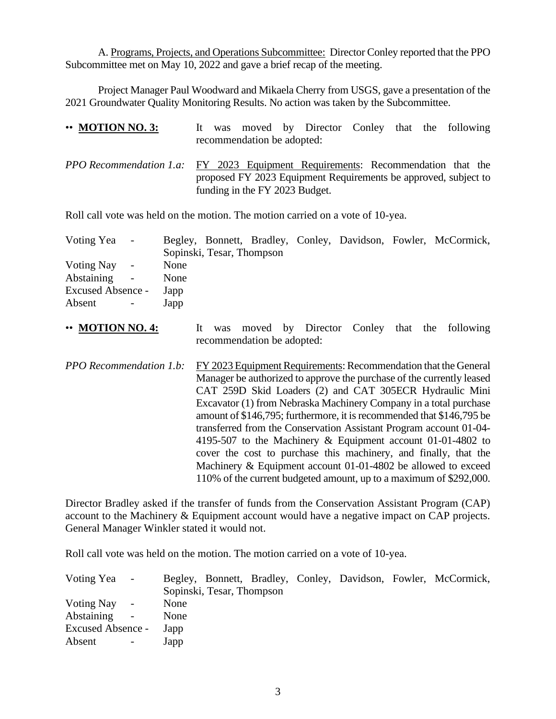A. Programs, Projects, and Operations Subcommittee: Director Conley reported that the PPO Subcommittee met on May 10, 2022 and gave a brief recap of the meeting.

Project Manager Paul Woodward and Mikaela Cherry from USGS, gave a presentation of the 2021 Groundwater Quality Monitoring Results. No action was taken by the Subcommittee.

| $\cdot\cdot$ MOTION NO. 3:                                                             |  | recommendation be adopted:     |  |  | It was moved by Director Conley that the following              |
|----------------------------------------------------------------------------------------|--|--------------------------------|--|--|-----------------------------------------------------------------|
| <i>PPO Recommendation 1.a:</i> FY 2023 Equipment Requirements: Recommendation that the |  | funding in the FY 2023 Budget. |  |  | proposed FY 2023 Equipment Requirements be approved, subject to |

Roll call vote was held on the motion. The motion carried on a vote of 10-yea.

| Voting Yea -         | Begley, Bonnett, Bradley, Conley, Davidson, Fowler, McCormick, |
|----------------------|----------------------------------------------------------------|
|                      | Sopinski, Tesar, Thompson                                      |
| Voting Nay<br>$\sim$ | None                                                           |
| Abstaining<br>$\sim$ | None                                                           |
| Excused Absence -    | Japp                                                           |
| Absent               | Japp                                                           |

- •• **MOTION NO. 4:** It was moved by Director Conley that the following recommendation be adopted:
- *PPO Recommendation 1.b:* FY 2023 Equipment Requirements: Recommendation that the General Manager be authorized to approve the purchase of the currently leased CAT 259D Skid Loaders (2) and CAT 305ECR Hydraulic Mini Excavator (1) from Nebraska Machinery Company in a total purchase amount of \$146,795; furthermore, it is recommended that \$146,795 be transferred from the Conservation Assistant Program account 01-04- 4195-507 to the Machinery & Equipment account 01-01-4802 to cover the cost to purchase this machinery, and finally, that the Machinery & Equipment account 01-01-4802 be allowed to exceed 110% of the current budgeted amount, up to a maximum of \$292,000.

Director Bradley asked if the transfer of funds from the Conservation Assistant Program (CAP) account to the Machinery & Equipment account would have a negative impact on CAP projects. General Manager Winkler stated it would not.

Roll call vote was held on the motion. The motion carried on a vote of 10-yea.

| Voting Yea -      |                |      |                           |  |  | Begley, Bonnett, Bradley, Conley, Davidson, Fowler, McCormick, |
|-------------------|----------------|------|---------------------------|--|--|----------------------------------------------------------------|
|                   |                |      | Sopinski, Tesar, Thompson |  |  |                                                                |
| Voting Nay -      |                | None |                           |  |  |                                                                |
| Abstaining        | $\sim$         | None |                           |  |  |                                                                |
| Excused Absence - |                | Japp |                           |  |  |                                                                |
| Absent            | $\sim$ 100 $-$ | Japp |                           |  |  |                                                                |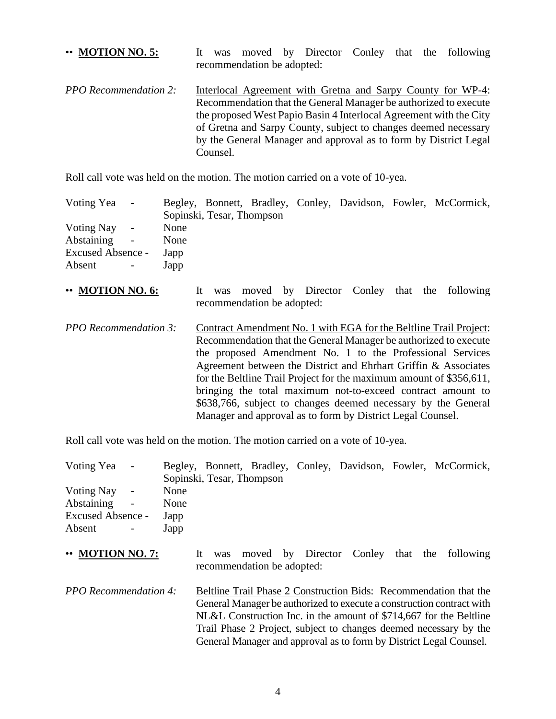•• **MOTION NO. 5:** It was moved by Director Conley that the following recommendation be adopted: *PPO Recommendation 2:* Interlocal Agreement with Gretna and Sarpy County for WP-4: Recommendation that the General Manager be authorized to execute the proposed West Papio Basin 4 Interlocal Agreement with the City of Gretna and Sarpy County, subject to changes deemed necessary by the General Manager and approval as to form by District Legal Counsel.

Roll call vote was held on the motion. The motion carried on a vote of 10-yea.

| Voting Yea -      |                |      |                           |  |  | Begley, Bonnett, Bradley, Conley, Davidson, Fowler, McCormick, |
|-------------------|----------------|------|---------------------------|--|--|----------------------------------------------------------------|
|                   |                |      | Sopinski, Tesar, Thompson |  |  |                                                                |
| Voting Nay -      |                | None |                           |  |  |                                                                |
| Abstaining -      |                | None |                           |  |  |                                                                |
| Excused Absence - |                | Japp |                           |  |  |                                                                |
| Absent            | $\sim$ $^{-1}$ | Japp |                           |  |  |                                                                |

- •• **MOTION NO. 6:** It was moved by Director Conley that the following recommendation be adopted:
- *PPO Recommendation 3:* Contract Amendment No. 1 with EGA for the Beltline Trail Project: Recommendation that the General Manager be authorized to execute the proposed Amendment No. 1 to the Professional Services Agreement between the District and Ehrhart Griffin & Associates for the Beltline Trail Project for the maximum amount of \$356,611, bringing the total maximum not-to-exceed contract amount to \$638,766, subject to changes deemed necessary by the General Manager and approval as to form by District Legal Counsel.

Roll call vote was held on the motion. The motion carried on a vote of 10-yea.

| Voting Yea -                                                                                                           |                              | Sopinski, Tesar, Thompson |                            |  | Begley, Bonnett, Bradley, Conley, Davidson, Fowler, McCormick, |
|------------------------------------------------------------------------------------------------------------------------|------------------------------|---------------------------|----------------------------|--|----------------------------------------------------------------|
| Voting Nay<br>Abstaining<br>$\overline{\phantom{a}}$<br><b>Excused Absence -</b><br>Absent<br>$\overline{\phantom{a}}$ | None<br>None<br>Japp<br>Japp |                           |                            |  |                                                                |
| $\cdot\cdot$ MOTION NO. 7:                                                                                             |                              | It was                    | recommendation be adopted: |  | moved by Director Conley that the following                    |

*PPO Recommendation 4:* Beltline Trail Phase 2 Construction Bids: Recommendation that the General Manager be authorized to execute a construction contract with NL&L Construction Inc. in the amount of \$714,667 for the Beltline Trail Phase 2 Project, subject to changes deemed necessary by the General Manager and approval as to form by District Legal Counsel.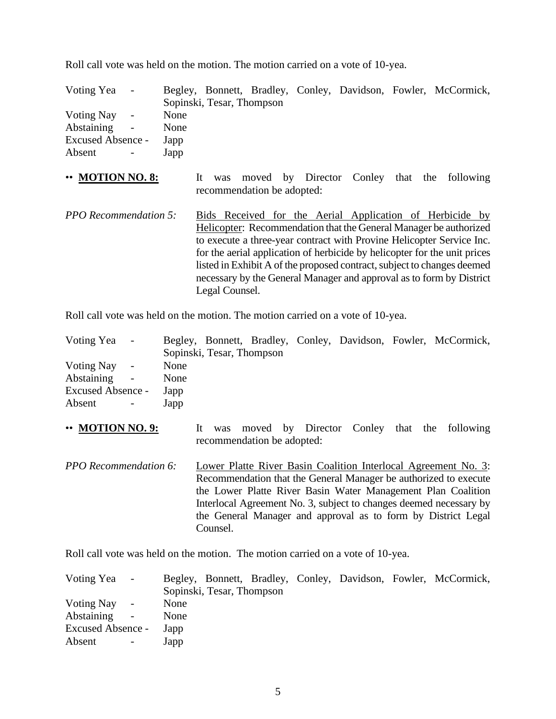Roll call vote was held on the motion. The motion carried on a vote of 10-yea.

| Voting Yea -      |                          |      |                           |  |  | Begley, Bonnett, Bradley, Conley, Davidson, Fowler, McCormick, |
|-------------------|--------------------------|------|---------------------------|--|--|----------------------------------------------------------------|
|                   |                          |      | Sopinski, Tesar, Thompson |  |  |                                                                |
| Voting Nay -      |                          | None |                           |  |  |                                                                |
| Abstaining        | $\sim$                   | None |                           |  |  |                                                                |
| Excused Absence - |                          | Japp |                           |  |  |                                                                |
| Absent            | <b>Contract Contract</b> | Japp |                           |  |  |                                                                |

- •• **MOTION NO. 8:** It was moved by Director Conley that the following recommendation be adopted:
- *PPO Recommendation 5:* Bids Received for the Aerial Application of Herbicide by Helicopter: Recommendation that the General Manager be authorized to execute a three-year contract with Provine Helicopter Service Inc. for the aerial application of herbicide by helicopter for the unit prices listed in Exhibit A of the proposed contract, subject to changes deemed necessary by the General Manager and approval as to form by District Legal Counsel.

Roll call vote was held on the motion. The motion carried on a vote of 10-yea.

| Voting Yea -      |                      |      |                           |  |  | Begley, Bonnett, Bradley, Conley, Davidson, Fowler, McCormick, |
|-------------------|----------------------|------|---------------------------|--|--|----------------------------------------------------------------|
|                   |                      |      | Sopinski, Tesar, Thompson |  |  |                                                                |
| Voting Nay -      |                      | None |                           |  |  |                                                                |
| Abstaining        | $\sim 100$ m $^{-1}$ | None |                           |  |  |                                                                |
| Excused Absence - |                      | Japp |                           |  |  |                                                                |
| Absent            | $\sim$ $-$           | Japp |                           |  |  |                                                                |
|                   |                      |      |                           |  |  |                                                                |

- •• **MOTION NO. 9:** It was moved by Director Conley that the following recommendation be adopted:
- *PPO Recommendation 6:* Lower Platte River Basin Coalition Interlocal Agreement No. 3: Recommendation that the General Manager be authorized to execute the Lower Platte River Basin Water Management Plan Coalition Interlocal Agreement No. 3, subject to changes deemed necessary by the General Manager and approval as to form by District Legal Counsel.

Roll call vote was held on the motion. The motion carried on a vote of 10-yea.

| Voting Yea -      |            |      |                           |  |  | Begley, Bonnett, Bradley, Conley, Davidson, Fowler, McCormick, |
|-------------------|------------|------|---------------------------|--|--|----------------------------------------------------------------|
|                   |            |      | Sopinski, Tesar, Thompson |  |  |                                                                |
| Voting Nay        | $\sim$     | None |                           |  |  |                                                                |
| Abstaining        | $\sim$     | None |                           |  |  |                                                                |
| Excused Absence - |            | Japp |                           |  |  |                                                                |
| Absent            | $\sim$ $-$ | Japp |                           |  |  |                                                                |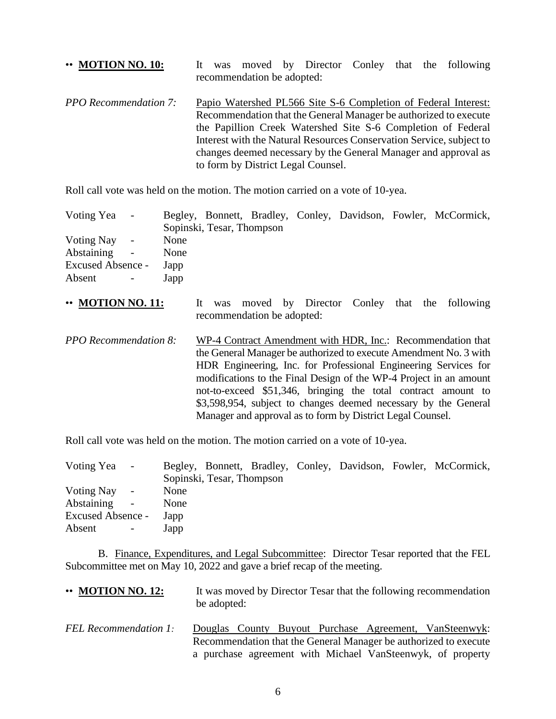# •• **MOTION NO. 10:** It was moved by Director Conley that the following recommendation be adopted: *PPO Recommendation 7:* Papio Watershed PL566 Site S-6 Completion of Federal Interest: Recommendation that the General Manager be authorized to execute the Papillion Creek Watershed Site S-6 Completion of Federal

Interest with the Natural Resources Conservation Service, subject to changes deemed necessary by the General Manager and approval as to form by District Legal Counsel.

Roll call vote was held on the motion. The motion carried on a vote of 10-yea.

| Voting Yea -      |                      |      |                           |  |  | Begley, Bonnett, Bradley, Conley, Davidson, Fowler, McCormick, |
|-------------------|----------------------|------|---------------------------|--|--|----------------------------------------------------------------|
|                   |                      |      | Sopinski, Tesar, Thompson |  |  |                                                                |
| Voting Nay -      |                      | None |                           |  |  |                                                                |
| Abstaining        | $\sim 100$ m $^{-1}$ | None |                           |  |  |                                                                |
| Excused Absence - |                      | Japp |                           |  |  |                                                                |
| Absent            | $\sim 100$ m $^{-1}$ | Japp |                           |  |  |                                                                |

- •• **MOTION NO. 11:** It was moved by Director Conley that the following recommendation be adopted:
- *PPO Recommendation 8:* WP-4 Contract Amendment with HDR, Inc.: Recommendation that the General Manager be authorized to execute Amendment No. 3 with HDR Engineering, Inc. for Professional Engineering Services for modifications to the Final Design of the WP-4 Project in an amount not-to-exceed \$51,346, bringing the total contract amount to \$3,598,954, subject to changes deemed necessary by the General Manager and approval as to form by District Legal Counsel.

Roll call vote was held on the motion. The motion carried on a vote of 10-yea.

| Voting Yea -      |      |                           |  |  | Begley, Bonnett, Bradley, Conley, Davidson, Fowler, McCormick, |
|-------------------|------|---------------------------|--|--|----------------------------------------------------------------|
|                   |      | Sopinski, Tesar, Thompson |  |  |                                                                |
| Voting Nay -      | None |                           |  |  |                                                                |
| Abstaining -      | None |                           |  |  |                                                                |
| Excused Absence - | Japp |                           |  |  |                                                                |
| Absent            | Japp |                           |  |  |                                                                |

B. Finance, Expenditures, and Legal Subcommittee: Director Tesar reported that the FEL Subcommittee met on May 10, 2022 and gave a brief recap of the meeting.

| $\cdot \cdot$ MOTION NO. 12: | be adopted: |  |  | It was moved by Director Tesar that the following recommendation                                                           |
|------------------------------|-------------|--|--|----------------------------------------------------------------------------------------------------------------------------|
| <b>FEL Recommendation 1:</b> |             |  |  | Douglas County Buyout Purchase Agreement, VanSteenwyk:<br>Recommendation that the General Manager be authorized to execute |

a purchase agreement with Michael VanSteenwyk, of property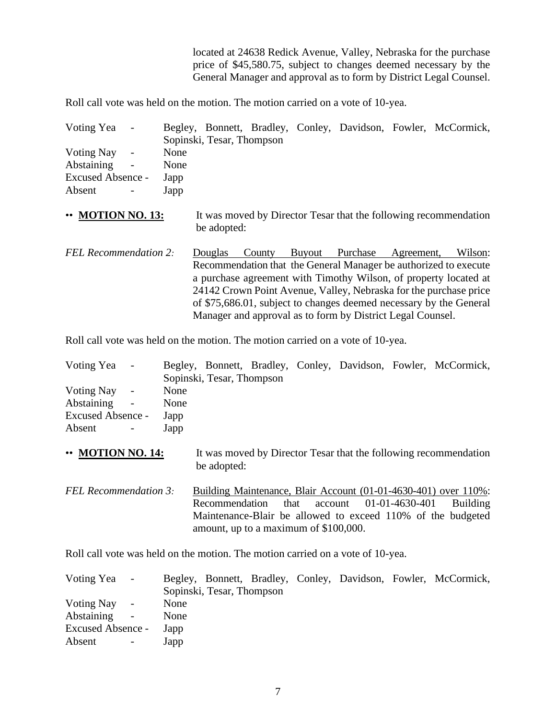located at 24638 Redick Avenue, Valley, Nebraska for the purchase price of \$45,580.75, subject to changes deemed necessary by the General Manager and approval as to form by District Legal Counsel.

Roll call vote was held on the motion. The motion carried on a vote of 10-yea.

| Voting Yea                                           |                      | Sopinski, Tesar, Thompson |        |                 |            | Begley, Bonnett, Bradley, Conley, Davidson, Fowler, McCormick,     |
|------------------------------------------------------|----------------------|---------------------------|--------|-----------------|------------|--------------------------------------------------------------------|
| Voting Nay<br>Abstaining<br><b>Excused Absence -</b> | None<br>None<br>Japp |                           |        |                 |            |                                                                    |
| Absent                                               | Japp                 |                           |        |                 |            |                                                                    |
| • MOTION NO. 13:                                     |                      | be adopted:               |        |                 |            | It was moved by Director Tesar that the following recommendation   |
| <b>FEL Recommendation 2:</b>                         |                      | Douglas                   | County | Buyout Purchase | Agreement, | Wilson:                                                            |
|                                                      |                      |                           |        |                 |            | Recommendation that the General Manager be authorized to execute   |
|                                                      |                      |                           |        |                 |            | a purchase agreement with Timothy Wilson, of property located at   |
|                                                      |                      |                           |        |                 |            | 24142 Crown Point Avenue, Valley, Nebraska for the purchase price  |
|                                                      |                      |                           |        |                 |            | of \$75,686.01, subject to changes deemed necessary by the General |

Roll call vote was held on the motion. The motion carried on a vote of 10-yea.

| Voting Yea -      |            |      |                           |  |  | Begley, Bonnett, Bradley, Conley, Davidson, Fowler, McCormick, |
|-------------------|------------|------|---------------------------|--|--|----------------------------------------------------------------|
|                   |            |      | Sopinski, Tesar, Thompson |  |  |                                                                |
| Voting Nay -      |            | None |                           |  |  |                                                                |
| Abstaining -      |            | None |                           |  |  |                                                                |
| Excused Absence - |            | Japp |                           |  |  |                                                                |
| Absent            | $\sim 100$ | Japp |                           |  |  |                                                                |

Manager and approval as to form by District Legal Counsel.

- **MOTION NO. 14:** It was moved by Director Tesar that the following recommendation be adopted:
- *FEL Recommendation 3:* Building Maintenance, Blair Account (01-01-4630-401) over 110%: Recommendation that account 01-01-4630-401 Building Maintenance-Blair be allowed to exceed 110% of the budgeted amount, up to a maximum of \$100,000.

Roll call vote was held on the motion. The motion carried on a vote of 10-yea.

| Voting Yea -      |      |                           |  |  | Begley, Bonnett, Bradley, Conley, Davidson, Fowler, McCormick, |
|-------------------|------|---------------------------|--|--|----------------------------------------------------------------|
|                   |      | Sopinski, Tesar, Thompson |  |  |                                                                |
| Voting Nay -      | None |                           |  |  |                                                                |
| Abstaining -      | None |                           |  |  |                                                                |
| Excused Absence - | Japp |                           |  |  |                                                                |
| Absent            | Japp |                           |  |  |                                                                |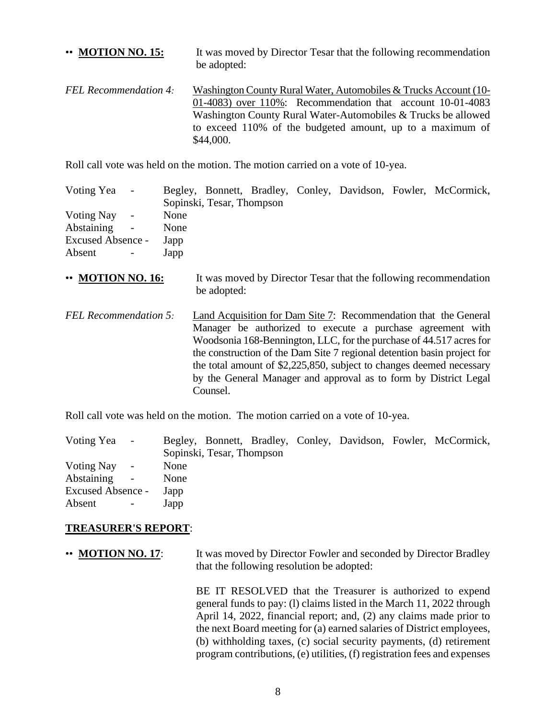# •• **MOTION NO. 15:** It was moved by Director Tesar that the following recommendation be adopted: *FEL Recommendation 4:* Washington County Rural Water, Automobiles & Trucks Account (10- 01-4083) over 110%: Recommendation that account 10-01-4083 Washington County Rural Water-Automobiles & Trucks be allowed to exceed 110% of the budgeted amount, up to a maximum of \$44,000.

Roll call vote was held on the motion. The motion carried on a vote of 10-yea.

| Voting Yea -             |                           |      |                           |  |  | Begley, Bonnett, Bradley, Conley, Davidson, Fowler, McCormick, |
|--------------------------|---------------------------|------|---------------------------|--|--|----------------------------------------------------------------|
|                          |                           |      | Sopinski, Tesar, Thompson |  |  |                                                                |
| Voting Nay -             |                           | None |                           |  |  |                                                                |
| Abstaining -             |                           | None |                           |  |  |                                                                |
| <b>Excused Absence -</b> |                           | Japp |                           |  |  |                                                                |
| Absent                   | $\sim 10^{-10}$ m $^{-1}$ | Japp |                           |  |  |                                                                |

- •• **MOTION NO. 16:** It was moved by Director Tesar that the following recommendation be adopted:
- *FEL Recommendation 5:* Land Acquisition for Dam Site 7: Recommendation that the General Manager be authorized to execute a purchase agreement with Woodsonia 168-Bennington, LLC, for the purchase of 44.517 acres for the construction of the Dam Site 7 regional detention basin project for the total amount of \$2,225,850, subject to changes deemed necessary by the General Manager and approval as to form by District Legal Counsel.

Roll call vote was held on the motion. The motion carried on a vote of 10-yea.

| Voting Yea        | $\sim$         |      |                           |  |  | Begley, Bonnett, Bradley, Conley, Davidson, Fowler, McCormick, |
|-------------------|----------------|------|---------------------------|--|--|----------------------------------------------------------------|
|                   |                |      | Sopinski, Tesar, Thompson |  |  |                                                                |
| Voting Nay        | $\sim$ $-$     | None |                           |  |  |                                                                |
| Abstaining        | $\sim$         | None |                           |  |  |                                                                |
| Excused Absence - |                | Japp |                           |  |  |                                                                |
| Absent            | $\sim$ $^{-1}$ | Japp |                           |  |  |                                                                |

## **TREASURER'S REPORT**:

• **MOTION NO. 17:** It was moved by Director Fowler and seconded by Director Bradley that the following resolution be adopted:

> BE IT RESOLVED that the Treasurer is authorized to expend general funds to pay: (l) claims listed in the March 11, 2022 through April 14, 2022, financial report; and, (2) any claims made prior to the next Board meeting for (a) earned salaries of District employees, (b) withholding taxes, (c) social security payments, (d) retirement program contributions, (e) utilities, (f) registration fees and expenses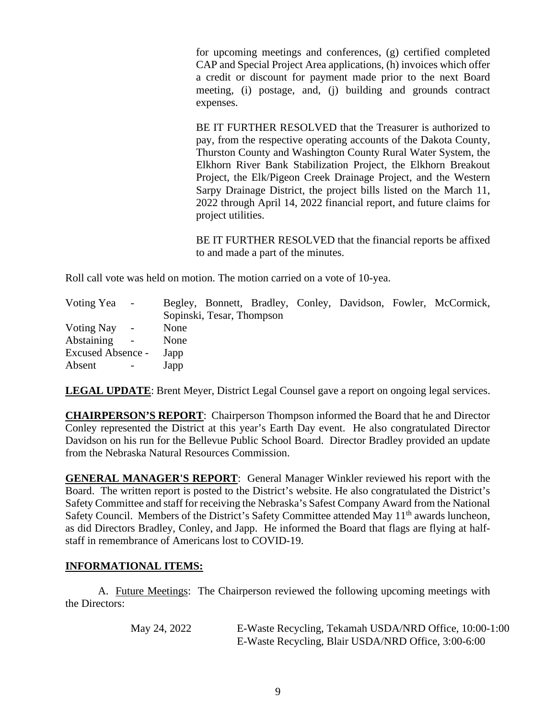for upcoming meetings and conferences, (g) certified completed CAP and Special Project Area applications, (h) invoices which offer a credit or discount for payment made prior to the next Board meeting, (i) postage, and, (j) building and grounds contract expenses.

BE IT FURTHER RESOLVED that the Treasurer is authorized to pay, from the respective operating accounts of the Dakota County, Thurston County and Washington County Rural Water System, the Elkhorn River Bank Stabilization Project, the Elkhorn Breakout Project, the Elk/Pigeon Creek Drainage Project, and the Western Sarpy Drainage District, the project bills listed on the March 11, 2022 through April 14, 2022 financial report, and future claims for project utilities.

BE IT FURTHER RESOLVED that the financial reports be affixed to and made a part of the minutes.

Roll call vote was held on motion. The motion carried on a vote of 10-yea.

| Voting Yea -             |        |      |                           |  |  | Begley, Bonnett, Bradley, Conley, Davidson, Fowler, McCormick, |
|--------------------------|--------|------|---------------------------|--|--|----------------------------------------------------------------|
|                          |        |      | Sopinski, Tesar, Thompson |  |  |                                                                |
| Voting Nay               | $\sim$ | None |                           |  |  |                                                                |
| Abstaining               | $\sim$ | None |                           |  |  |                                                                |
| <b>Excused Absence -</b> |        | Japp |                           |  |  |                                                                |
| Absent                   |        | Japp |                           |  |  |                                                                |

**LEGAL UPDATE**: Brent Meyer, District Legal Counsel gave a report on ongoing legal services.

**CHAIRPERSON'S REPORT**: Chairperson Thompson informed the Board that he and Director Conley represented the District at this year's Earth Day event. He also congratulated Director Davidson on his run for the Bellevue Public School Board. Director Bradley provided an update from the Nebraska Natural Resources Commission.

**GENERAL MANAGER'S REPORT**: General Manager Winkler reviewed his report with the Board. The written report is posted to the District's website. He also congratulated the District's Safety Committee and staff for receiving the Nebraska's Safest Company Award from the National Safety Council. Members of the District's Safety Committee attended May 11<sup>th</sup> awards luncheon, as did Directors Bradley, Conley, and Japp. He informed the Board that flags are flying at halfstaff in remembrance of Americans lost to COVID-19.

## **INFORMATIONAL ITEMS:**

A. Future Meetings: The Chairperson reviewed the following upcoming meetings with the Directors:

| May 24, 2022 | E-Waste Recycling, Tekamah USDA/NRD Office, 10:00-1:00 |
|--------------|--------------------------------------------------------|
|              | E-Waste Recycling, Blair USDA/NRD Office, 3:00-6:00    |